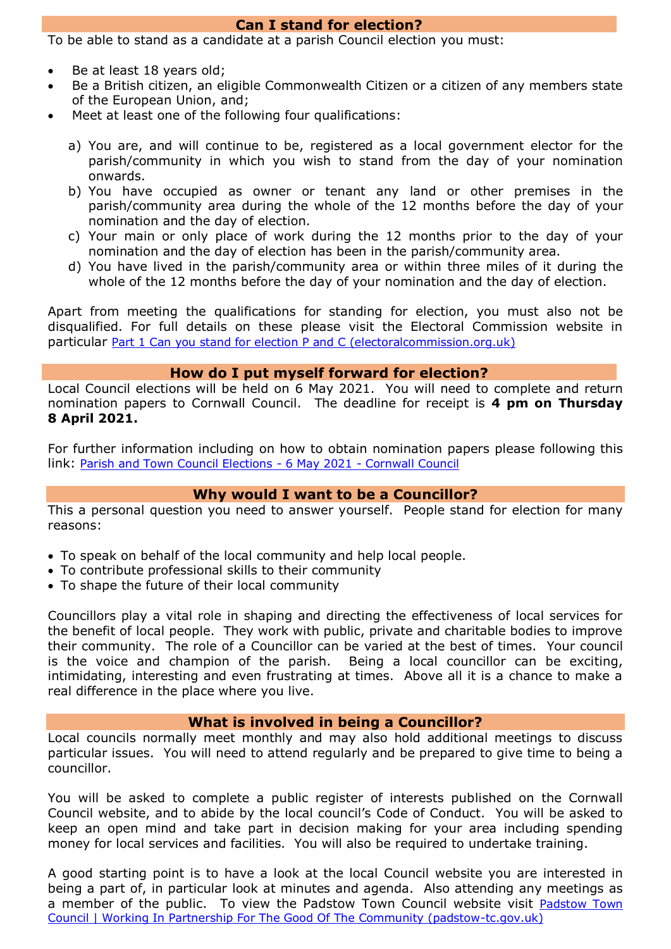### **Can I stand for election?**

To be able to stand as a candidate at a parish Council election you must:

- Be at least 18 years old;
- Be a British citizen, an eligible Commonwealth Citizen or a citizen of any members state of the European Union, and;
- Meet at least one of the following four qualifications:
	- a) You are, and will continue to be, registered as a local government elector for the parish/community in which you wish to stand from the day of your nomination onwards.
	- b) You have occupied as owner or tenant any land or other premises in the parish/community area during the whole of the 12 months before the day of your nomination and the day of election.
	- c) Your main or only place of work during the 12 months prior to the day of your nomination and the day of election has been in the parish/community area.
	- d) You have lived in the parish/community area or within three miles of it during the whole of the 12 months before the day of your nomination and the day of election.

Apart from meeting the qualifications for standing for election, you must also not be disqualified. For full details on these please visit the Electoral Commission website in particular [Part 1 Can you stand for election P and C \(electoralcommission.org.uk\)](https://www.electoralcommission.org.uk/sites/default/files/2020-01/Part%201%20Can%20you%20stand%20for%20election%20P%20and%20C.pdf)

### **How do I put myself forward for election?**

Local Council elections will be held on 6 May 2021. You will need to complete and return nomination papers to Cornwall Council. The deadline for receipt is **4 pm on Thursday 8 April 2021.**

For further information including on how to obtain nomination papers please following this link: [Parish and Town Council Elections -](https://www.cornwall.gov.uk/council-and-democracy/elections/current-and-forthcoming-electionsreferendums/parish-and-town-council-elections-6-may-2021/) 6 May 2021 - Cornwall Council

# **Why would I want to be a Councillor?**

This a personal question you need to answer yourself. People stand for election for many reasons:

- To speak on behalf of the local community and help local people.
- To contribute professional skills to their community
- To shape the future of their local community

Councillors play a vital role in shaping and directing the effectiveness of local services for the benefit of local people. They work with public, private and charitable bodies to improve their community. The role of a Councillor can be varied at the best of times. Your council is the voice and champion of the parish. Being a local councillor can be exciting, intimidating, interesting and even frustrating at times. Above all it is a chance to make a real difference in the place where you live.

#### **What is involved in being a Councillor?**

Local councils normally meet monthly and may also hold additional meetings to discuss particular issues. You will need to attend regularly and be prepared to give time to being a councillor.

You will be asked to complete a public register of interests published on the Cornwall Council website, and to abide by the local council's Code of Conduct. You will be asked to keep an open mind and take part in decision making for your area including spending money for local services and facilities. You will also be required to undertake training.

A good starting point is to have a look at the local Council website you are interested in being a part of, in particular look at minutes and agenda. Also attending any meetings as a member of the public. To view the Padstow Town Council website visit [Padstow Town](https://padstow-tc.gov.uk/)  [Council | Working In Partnership For The Good Of The Community \(padstow-tc.gov.uk\)](https://padstow-tc.gov.uk/)